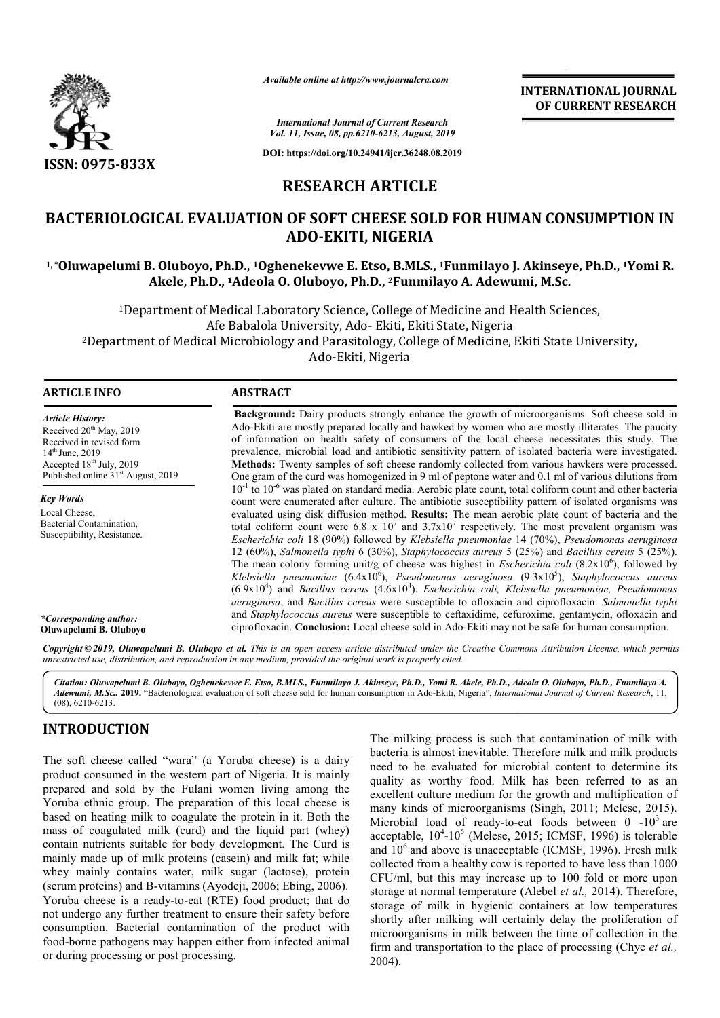

*Available online at http://www.journalcra.com*

**INTERNATIONAL JOURNAL OF CURRENT RESEARCH**

*International Journal of Current Research Vol. 11, Issue, 08, pp.6210-6213, August, 2019*

**DOI: https://doi.org/10.24941/ijcr.36248.08.2019**

# **RESEARCH ARTICLE**

# BACTERIOLOGICAL EVALUATION OF SOFT CHEESE SOLD FOR HUMAN CONSUMPTION IN **ADO-EKITI, NIGERIA**

# <sup>1,</sup>\*Oluwapelumi B. Oluboyo, Ph.D., <sup>1</sup>Oghenekevwe E. Etso, B.MLS., <sup>1</sup>Funmilayo J. Akinseye, Ph.D., <sup>1</sup>Yomi R. Akele, Ph.D., <sup>1</sup>Adeola O. Oluboyo, Ph.D., <sup>2</sup>Funmilayo A. Adewumi, M.Sc.

<sup>1</sup>Department of Medical Laboratory Science, College of Medicine and Health Sciences,<br>Afe Babalola University, Ado- Ekiti, Ekiti State, Nigeria Afe Babalola University, Ado 2Department of Medical Microbiology and Parasitology, College of Medicine, Ekiti State University, Department Ado-Ekiti, Nigeria Medical Laboratory Science, College of Medicine and Health<br>Afe Babalola University, Ado- Ekiti, Ekiti State, Nigeria<br>al Microbiology and Parasitology, College of Medicine, Ekiti S

### **ARTICLE INFO ABSTRACT**

*Article History:* Received 20<sup>th</sup> May, 2019 Received in revised form 14<sup>th</sup> June, 2019 Accepted  $18<sup>th</sup>$  July, 2019 Published online 31<sup>st</sup> August, 2019

*Key Words* Local Cheese, Bacterial Contamination, Susceptibility, Resistance.

*\*Corresponding author:* **Oluwapelumi B. Oluboyo**

**Background:**  Dairy products strongly enhance the growth of microorganisms. Soft cheese sold in Ado-Ekiti are mostly prepared locally and hawked by women who are mostly illiterates. The paucity of information on health safety of consumers of the local cheese necessitates this study. The prevalence, microbial load and antibiotic sensitivity pattern of isolated bacteria were investigated. **Methods:**  Twenty samples of soft cheese randomly collected from various hawkers were processed. One gram of the curd was homogenized in 9 ml of peptone water and 0.1 ml of various dilutions from 10<sup>-1</sup> to 10<sup>-6</sup> was plated on standard media. Aerobic plate count, total coliform count and other bacteria count were enumerated after culture. The antibiotic susceptibility pattern of isolated organisms was evaluated using disk diffusion method. **Results:** The mean aerobic plate count of bacteria and the total coliform count were  $6.8 \times 10^7$  and  $3.7 \times 10^7$  respectively. The most prevalent organism was *Escherichia coli* 18 (90%) followed by *Klebsiella pneumoniae* 14 (70%), 12 (60%), *Salmonella typhi* 6 (30%), *Staphylococcus aureus* 5 (25%) (25%) and *Bacillus cereus* 5 (25%). The mean colony forming unit/g of cheese was highest in *Escherichia coli* (8.2x10<sup>6</sup>), followed by Klebsiella pneumoniae (6.4x10<sup>6</sup>), Pseudomonas aeruginosa (9.3x10<sup>5</sup>), Staphylococcus aureus (6.9x10 (6.9x10<sup>4</sup> ) and *Bacillus cereus* (4.6x10<sup>4</sup> ). *Escherichia coli, Klebsiella pneumoniae, Pseudomonas Escherichia* aeruginosa, and *Bacillus cereus* were susceptible to ofloxacin and ciprofloxacin. *Salmonella typhi* and *Staphylococcus aureus* were susceptible to ceftaxidime, cefuroxime, gentamycin, ofloxacin and and *Staphylococcus aureus* were susceptible to ceftaxidime, cefuroxime, gentamycin, ofloxacin an ciprofloxacin. Conclusion: Local cheese sold in Ado-Ekiti may not be safe for human consumption. **Background:** Dairy products strongly enhance the growth of microorganisms. Soft cheese sold in Ado-Ekiti are mostly prepared locally and hawked by women who are mostly illiterates. The paucity of information on health sa

Copyright © 2019, Oluwapelumi B. Oluboyo et al. This is an open access article distributed under the Creative Commons Attribution License, which permits *unrestricted use, distribution, and reproduction in any medium, provided the original work is properly cited.*

Citation: Oluwapelumi B. Oluboyo, Oghenekevwe E. Etso, B.MLS., Funmilayo J. Akinseye, Ph.D., Yomi R. Akele, Ph.D., Adeola O. Oluboyo, Ph.D., Funmilayo A. Adewumi, M.Sc.. 2019. "Bacteriological evaluation of soft cheese sold for human consumption in Ado-Ekiti, Nigeria", International Journal of Current Research, 11, (08), 6210-6213.

# **INTRODUCTION**

The soft cheese called "wara" (a Yoruba cheese) is a dairy product consumed in the western part of Nigeria. It is mainly prepared and sold by the Fulani women living among the Yoruba ethnic group. The preparation of this local cheese is based on heating milk to coagulate the protein in it. Both the mass of coagulated milk (curd) and the liquid part (whey) contain nutrients suitable for body development. The Curd is mainly made up of milk proteins (casein) and milk fat; while whey mainly contains water, milk sugar (lactose), protein (serum proteins) and B-vitamins (Ayodeji, 2006; Ebing, 2006) 2006). Yoruba cheese is a ready-to-eat (RTE) food product; that do not undergo any further treatment to ensure their safety before consumption. Bacterial contamination of the product with food-borne pathogens may happen either from infected animal or during processing or post processing.

The milking process is such that contamination of milk with<br>soft chosen called "wara" (a Yoruba cheese) is a dairy<br>need to be evaluated for microbial content to determine its<br>rect consumed in the westerm part of Nigeria. I bacteria is almost inevitable. Therefore milk and milk products need to be evaluated for microbial content to determine its quality as worthy food. Milk has been referred to as an excellent culture medium for the growth and multiplication of The milking process is such that contamination of milk with bacteria is almost inevitable. Therefore milk and milk products need to be evaluated for microbial content to determine its quality as worthy food. Milk has been Microbial load of ready-to-eat foods between  $0 -10^3$  are acceptable,  $10^4$ - $10^5$  (Melese, 2015; ICMSF, 1996) is tolerable and  $10^6$  and above is unacceptable (ICMSF, 1996). Fresh milk collected from a healthy cow is reported to have less than 1000 collected from a healthy cow is reported to have less than 1000 CFU/ml, but this may increase up to 100 fold or more upon storage at normal temperature (Alebel *et al.,* 2014). Therefore, storage of milk in hygienic containers at low temperatures shortly after milking will certainly delay the proliferation of microorganisms in milk between the time of collection in the firm and transportation to the place of processing (Chye *et al.,*  2004).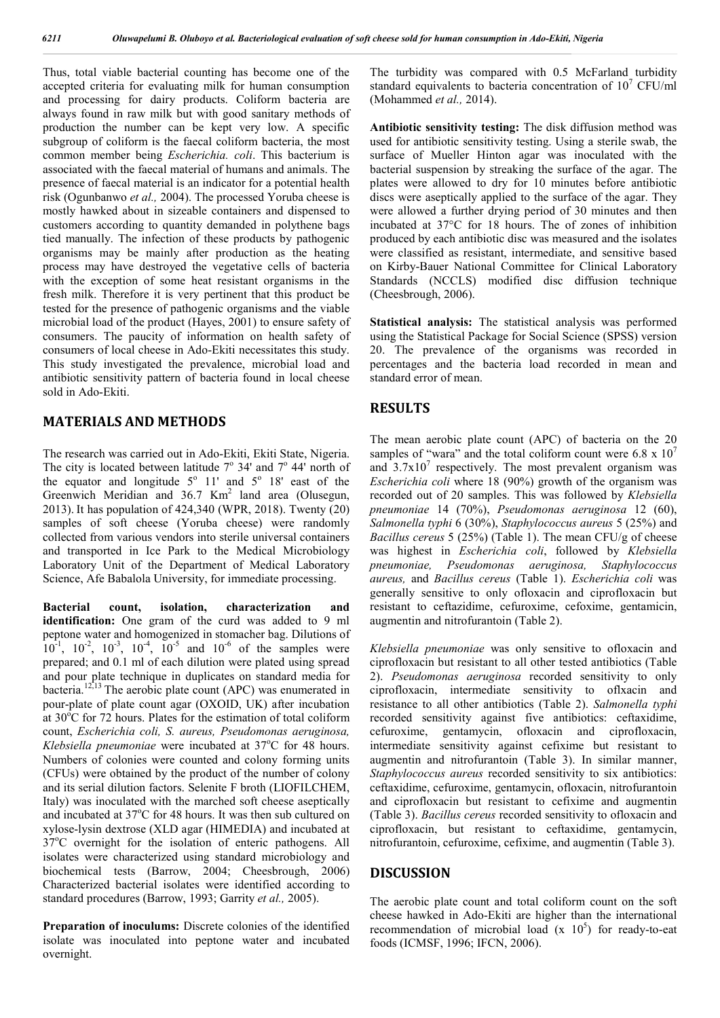Thus, total viable bacterial counting has become one of the accepted criteria for evaluating milk for human consumption and processing for dairy products. Coliform bacteria are always found in raw milk but with good sanitary methods of production the number can be kept very low. A specific subgroup of coliform is the faecal coliform bacteria, the most common member being *Escherichia. coli*. This bacterium is associated with the faecal material of humans and animals. The presence of faecal material is an indicator for a potential health risk (Ogunbanwo *et al.,* 2004). The processed Yoruba cheese is mostly hawked about in sizeable containers and dispensed to customers according to quantity demanded in polythene bags tied manually. The infection of these products by pathogenic organisms may be mainly after production as the heating process may have destroyed the vegetative cells of bacteria with the exception of some heat resistant organisms in the fresh milk. Therefore it is very pertinent that this product be tested for the presence of pathogenic organisms and the viable microbial load of the product (Hayes, 2001) to ensure safety of consumers. The paucity of information on health safety of consumers of local cheese in Ado-Ekiti necessitates this study. This study investigated the prevalence, microbial load and antibiotic sensitivity pattern of bacteria found in local cheese sold in Ado-Ekiti.

## **MATERIALS AND METHODS**

The research was carried out in Ado-Ekiti, Ekiti State, Nigeria. The city is located between latitude  $7^\circ$  34' and  $7^\circ$  44' north of the equator and longitude  $5^{\circ}$  11' and  $5^{\circ}$  18' east of the Greenwich Meridian and 36.7 Km<sup>2</sup> land area (Olusegun, 2013). It has population of 424,340 (WPR, 2018). Twenty (20) samples of soft cheese (Yoruba cheese) were randomly collected from various vendors into sterile universal containers and transported in Ice Park to the Medical Microbiology Laboratory Unit of the Department of Medical Laboratory Science, Afe Babalola University, for immediate processing.

**Bacterial count, isolation, characterization and identification:** One gram of the curd was added to 9 ml peptone water and homogenized in stomacher bag. Dilutions of  $10^{-1}$ ,  $10^{-2}$ ,  $10^{-3}$ ,  $10^{-4}$ ,  $10^{-5}$  and  $10^{-6}$  of the samples were prepared; and 0.1 ml of each dilution were plated using spread and pour plate technique in duplicates on standard media for bacteria.<sup>12,13</sup> The aerobic plate count (APC) was enumerated in pour-plate of plate count agar (OXOID, UK) after incubation at 30°C for 72 hours. Plates for the estimation of total coliform count, *Escherichia coli, S. aureus, Pseudomonas aeruginosa,*  Klebsiella pneumoniae were incubated at 37°C for 48 hours. Numbers of colonies were counted and colony forming units (CFUs) were obtained by the product of the number of colony and its serial dilution factors. Selenite F broth (LIOFILCHEM, Italy) was inoculated with the marched soft cheese aseptically and incubated at 37°C for 48 hours. It was then sub cultured on xylose-lysin dextrose (XLD agar (HIMEDIA) and incubated at 37°C overnight for the isolation of enteric pathogens. All isolates were characterized using standard microbiology and biochemical tests (Barrow, 2004; Cheesbrough, 2006) Characterized bacterial isolates were identified according to standard procedures (Barrow, 1993; Garrity *et al.,* 2005).

**Preparation of inoculums:** Discrete colonies of the identified isolate was inoculated into peptone water and incubated overnight.

The turbidity was compared with 0.5 McFarland turbidity standard equivalents to bacteria concentration of  $10^7$  CFU/ml (Mohammed *et al.,* 2014).

**Antibiotic sensitivity testing:** The disk diffusion method was used for antibiotic sensitivity testing. Using a sterile swab, the surface of Mueller Hinton agar was inoculated with the bacterial suspension by streaking the surface of the agar. The plates were allowed to dry for 10 minutes before antibiotic discs were aseptically applied to the surface of the agar. They were allowed a further drying period of 30 minutes and then incubated at 37°C for 18 hours. The of zones of inhibition produced by each antibiotic disc was measured and the isolates were classified as resistant, intermediate, and sensitive based on Kirby-Bauer National Committee for Clinical Laboratory Standards (NCCLS) modified disc diffusion technique (Cheesbrough, 2006).

**Statistical analysis:** The statistical analysis was performed using the Statistical Package for Social Science (SPSS) version 20. The prevalence of the organisms was recorded in percentages and the bacteria load recorded in mean and standard error of mean.

## **RESULTS**

The mean aerobic plate count (APC) of bacteria on the 20 samples of "wara" and the total coliform count were 6.8 x  $10^7$ and  $3.7x10^7$  respectively. The most prevalent organism was *Escherichia coli* where 18 (90%) growth of the organism was recorded out of 20 samples. This was followed by *Klebsiella pneumoniae* 14 (70%), *Pseudomonas aeruginosa* 12 (60), *Salmonella typhi* 6 (30%), *Staphylococcus aureus* 5 (25%) and *Bacillus cereus* 5 (25%) (Table 1). The mean CFU/g of cheese was highest in *Escherichia coli*, followed by *Klebsiella pneumoniae, Pseudomonas aeruginosa, Staphylococcus aureus,* and *Bacillus cereus* (Table 1). *Escherichia coli* was generally sensitive to only ofloxacin and ciprofloxacin but resistant to ceftazidime, cefuroxime, cefoxime, gentamicin, augmentin and nitrofurantoin (Table 2).

*Klebsiella pneumoniae* was only sensitive to ofloxacin and ciprofloxacin but resistant to all other tested antibiotics (Table 2). *Pseudomonas aeruginosa* recorded sensitivity to only ciprofloxacin, intermediate sensitivity to oflxacin and resistance to all other antibiotics (Table 2). *Salmonella typhi* recorded sensitivity against five antibiotics: ceftaxidime, cefuroxime, gentamycin, ofloxacin and ciprofloxacin, intermediate sensitivity against cefixime but resistant to augmentin and nitrofurantoin (Table 3). In similar manner, *Staphylococcus aureus* recorded sensitivity to six antibiotics: ceftaxidime, cefuroxime, gentamycin, ofloxacin, nitrofurantoin and ciprofloxacin but resistant to cefixime and augmentin (Table 3). *Bacillus cereus* recorded sensitivity to ofloxacin and ciprofloxacin, but resistant to ceftaxidime, gentamycin, nitrofurantoin, cefuroxime, cefixime, and augmentin (Table 3).

### **DISCUSSION**

The aerobic plate count and total coliform count on the soft cheese hawked in Ado-Ekiti are higher than the international recommendation of microbial load  $(x 10^5)$  for ready-to-eat foods (ICMSF, 1996; IFCN, 2006).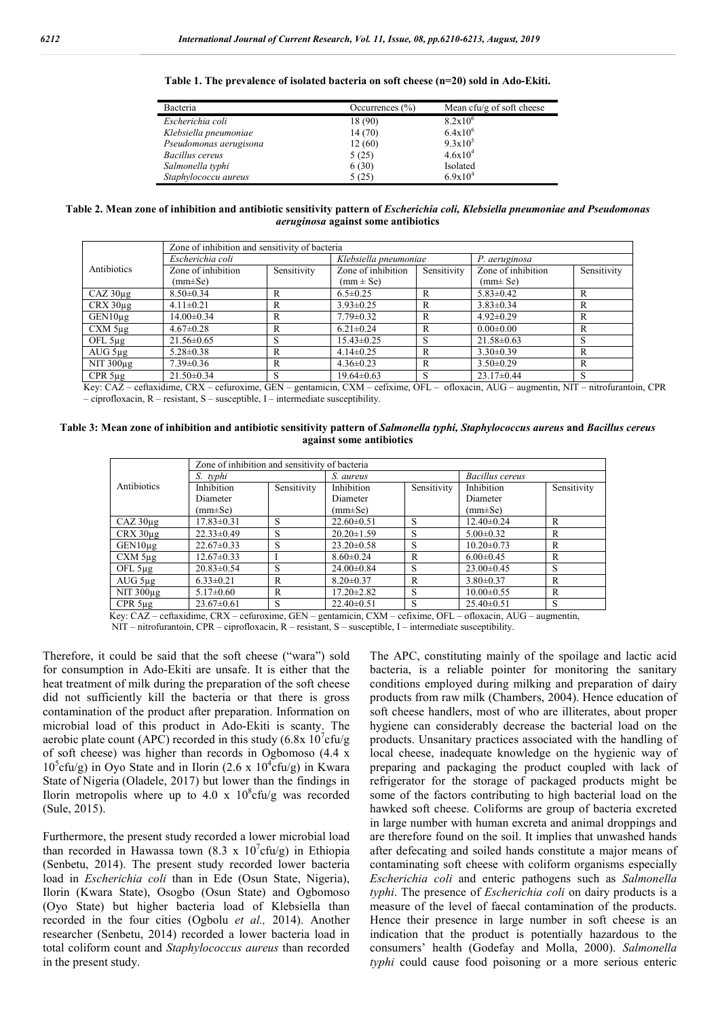| Bacteria               | Occurrences $(\% )$ | Mean cfu/g of soft cheese |
|------------------------|---------------------|---------------------------|
| Escherichia coli       | 18 (90)             | $8.2 \times 10^{6}$       |
| Klebsiella pneumoniae  | 14(70)              | $6.4x10^{6}$              |
| Pseudomonas aerugisona | 12(60)              | $9.3 \times 10^5$         |
| Bacillus cereus        | 5(25)               | $4.6x10^{4}$              |
| Salmonella typhi       | 6(30)               | Isolated                  |
| Staphylococcu aureus   | 5(25)               | $6.9x10^{4}$              |

**Table 1. The prevalence of isolated bacteria on soft cheese (n=20) sold in Ado-Ekiti.**

**Table 2. Mean zone of inhibition and antibiotic sensitivity pattern of** *Escherichia coli, Klebsiella pneumoniae and Pseudomonas aeruginosa* **against some antibiotics**

|                  | Zone of inhibition and sensitivity of bacteria |             |                       |             |                    |             |  |  |
|------------------|------------------------------------------------|-------------|-----------------------|-------------|--------------------|-------------|--|--|
|                  | Escherichia coli                               |             | Klebsiella pneumoniae |             | P. aeruginosa      |             |  |  |
| Antibiotics      | Zone of inhibition                             | Sensitivity | Zone of inhibition    | Sensitivity | Zone of inhibition | Sensitivity |  |  |
|                  | $(mm \pm Se)$                                  |             | $(mm \pm Se)$         |             | $(mm \pm Se)$      |             |  |  |
| $CAZ30\mu$ g     | $8.50 \pm 0.34$                                | R           | $6.5 \pm 0.25$        | R           | $5.83 \pm 0.42$    | R           |  |  |
| $CRX$ 30 $\mu$ g | $4.11 \pm 0.21$                                | R           | $3.93 \pm 0.25$       | R           | $3.83 \pm 0.34$    | R           |  |  |
| $GEN10\mu$ g     | $14.00 \pm 0.34$                               | R           | $7.79 \pm 0.32$       | R           | $4.92 \pm 0.29$    | R           |  |  |
| $CXM$ 5 $\mu$ g  | $4.67 \pm 0.28$                                | R           | $6.21 \pm 0.24$       | R           | $0.00 \pm 0.00$    | R           |  |  |
| OFL $5\mu$ g     | $21.56 \pm 0.65$                               | S           | $15.43 \pm 0.25$      | S           | $21.58 \pm 0.63$   | S           |  |  |
| AUG $5\mu$ g     | $5.28 \pm 0.38$                                | R           | $4.14 \pm 0.25$       | R           | $3.30\pm0.39$      | R           |  |  |
| $NIT 300\mu g$   | $7.39 \pm 0.36$                                | R           | $4.36 \pm 0.23$       | R           | $3.50 \pm 0.29$    | R           |  |  |
| $CPR$ 5 $\mu$ g  | $21.50 \pm 0.34$                               | S           | $19.64\pm0.63$        | S           | $23.17\pm0.44$     | S           |  |  |

Key: CAZ – ceftaxidime, CRX – cefuroxime, GEN – gentamicin, CXM – cefixime, OFL – ofloxacin, AUG – augmentin, NIT – nitrofurantoin, CPR – ciprofloxacin, R – resistant, S – susceptible, I – intermediate susceptibility.

**Table 3: Mean zone of inhibition and antibiotic sensitivity pattern of** *Salmonella typhi, Staphylococcus aureus* **and** *Bacillus cereus*  **against some antibiotics**

|                 | Zone of inhibition and sensitivity of bacteria |             |                  |             |                  |             |  |  |
|-----------------|------------------------------------------------|-------------|------------------|-------------|------------------|-------------|--|--|
|                 | S. typhi                                       |             | S. aureus        |             | Bacillus cereus  |             |  |  |
| Antibiotics     | Inhibition                                     | Sensitivity | Inhibition       | Sensitivity | Inhibition       | Sensitivity |  |  |
|                 | Diameter                                       |             | Diameter         |             | Diameter         |             |  |  |
|                 | (mm±Se)                                        |             | $(mm \pm Se)$    |             | $(mm \pm Se)$    |             |  |  |
| $CAZ30\mu$ g    | $17.83 \pm 0.31$                               | S           | $22.60 \pm 0.51$ | S           | $12.40\pm0.24$   | R           |  |  |
| $CRX$ $30\mu$ g | $22.33 \pm 0.49$                               | S           | $20.20 \pm 1.59$ | S           | $5.00 \pm 0.32$  | R           |  |  |
| GEN10ug         | $22.67 \pm 0.33$                               | S           | $23.20 \pm 0.58$ | S           | $10.20 \pm 0.73$ | R           |  |  |
| $CXM$ 5 $\mu$ g | $12.67 \pm 0.33$                               |             | $8.60\pm0.24$    | R           | $6.00 \pm 0.45$  | R           |  |  |
| OFL $5\mu$ g    | $20.83 \pm 0.54$                               | S           | $24.00\pm0.84$   | S           | $23.00\pm0.45$   | S           |  |  |
| $AUG$ 5µg       | $6.33 \pm 0.21$                                | R           | $8.20 \pm 0.37$  | R           | $3.80 \pm 0.37$  | R           |  |  |
| $NIT 300\mu g$  | $5.17 \pm 0.60$                                | R           | $17.20 \pm 2.82$ | S           | $10.00 \pm 0.55$ | R           |  |  |
| $CPR$ 5µg       | $23.67 \pm 0.61$                               | S           | $22.40\pm0.51$   | S           | $25.40\pm0.51$   | S           |  |  |

Key: CAZ – ceftaxidime, CRX – cefuroxime, GEN – gentamicin, CXM – cefixime, OFL – ofloxacin, AUG – augmentin, NIT – nitrofurantoin, CPR – ciprofloxacin, R – resistant, S – susceptible, I – intermediate susceptibility.

Therefore, it could be said that the soft cheese ("wara") sold for consumption in Ado-Ekiti are unsafe. It is either that the heat treatment of milk during the preparation of the soft cheese did not sufficiently kill the bacteria or that there is gross contamination of the product after preparation. Information on microbial load of this product in Ado-Ekiti is scanty. The aerobic plate count (APC) recorded in this study (6.8x  $10^{7}$ cfu/g of soft cheese) was higher than records in Ogbomoso (4.4 x  $10^5$ cfu/g) in Oyo State and in Ilorin (2.6 x  $10^4$ cfu/g) in Kwara State of Nigeria (Oladele, 2017) but lower than the findings in Ilorin metropolis where up to 4.0 x  $10^8$ cfu/g was recorded (Sule, 2015).

Furthermore, the present study recorded a lower microbial load than recorded in Hawassa town (8.3 x  $10^7$ cfu/g) in Ethiopia (Senbetu, 2014). The present study recorded lower bacteria load in *Escherichia coli* than in Ede (Osun State, Nigeria), Ilorin (Kwara State), Osogbo (Osun State) and Ogbomoso (Oyo State) but higher bacteria load of Klebsiella than recorded in the four cities (Ogbolu *et al.,* 2014). Another researcher (Senbetu, 2014) recorded a lower bacteria load in total coliform count and *Staphylococcus aureus* than recorded in the present study.

The APC, constituting mainly of the spoilage and lactic acid bacteria, is a reliable pointer for monitoring the sanitary conditions employed during milking and preparation of dairy products from raw milk (Chambers, 2004). Hence education of soft cheese handlers, most of who are illiterates, about proper hygiene can considerably decrease the bacterial load on the products. Unsanitary practices associated with the handling of local cheese, inadequate knowledge on the hygienic way of preparing and packaging the product coupled with lack of refrigerator for the storage of packaged products might be some of the factors contributing to high bacterial load on the hawked soft cheese. Coliforms are group of bacteria excreted in large number with human excreta and animal droppings and are therefore found on the soil. It implies that unwashed hands after defecating and soiled hands constitute a major means of contaminating soft cheese with coliform organisms especially *Escherichia coli* and enteric pathogens such as *Salmonella typhi*. The presence of *Escherichia coli* on dairy products is a measure of the level of faecal contamination of the products. Hence their presence in large number in soft cheese is an indication that the product is potentially hazardous to the consumers' health (Godefay and Molla, 2000). *Salmonella typhi* could cause food poisoning or a more serious enteric